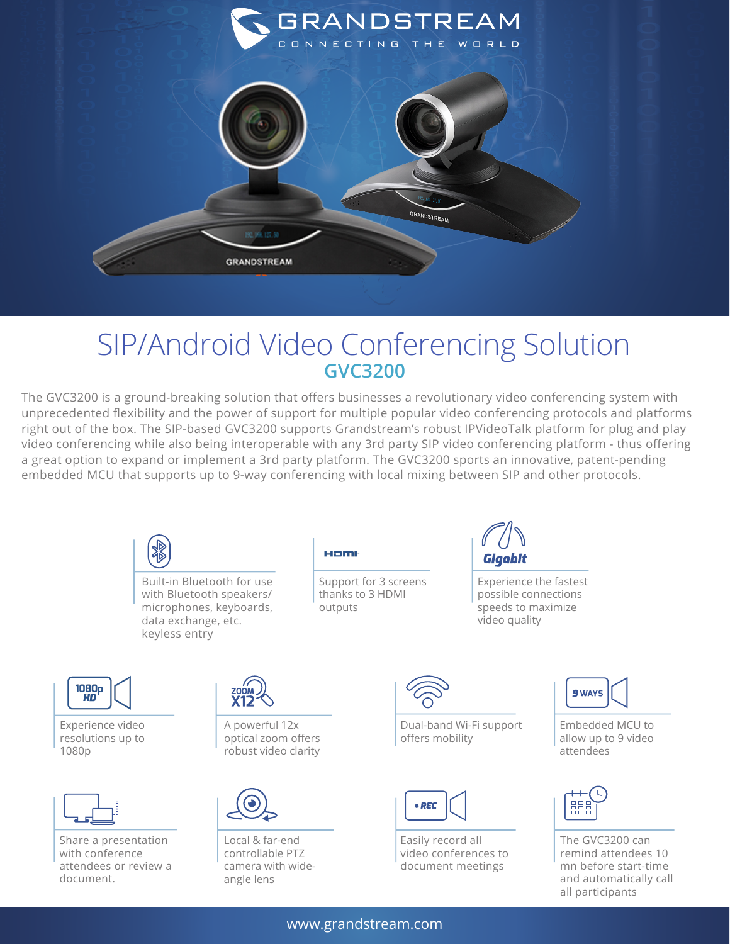

## SIP/Android Video Conferencing Solution **GVC3200**

The GVC3200 is a ground-breaking solution that offers businesses a revolutionary video conferencing system with unprecedented flexibility and the power of support for multiple popular video conferencing protocols and platforms right out of the box. The SIP-based GVC3200 supports Grandstream's robust IPVideoTalk platform for plug and play video conferencing while also being interoperable with any 3rd party SIP video conferencing platform - thus offering a great option to expand or implement a 3rd party platform. The GVC3200 sports an innovative, patent-pending embedded MCU that supports up to 9-way conferencing with local mixing between SIP and other protocols.



www.grandstream.com